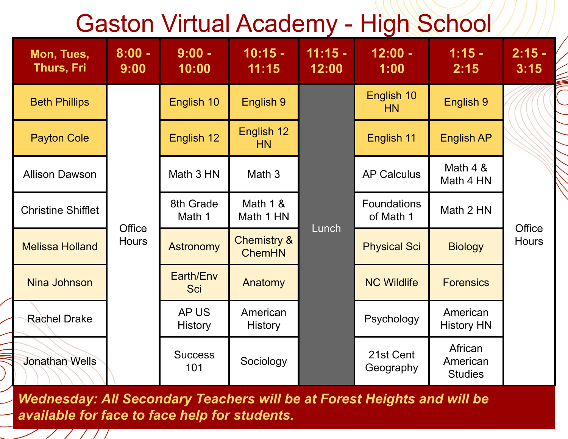## Gaston Virtual Academy - High School

| Mon, Tues,<br><b>Thurs, Fri</b> | $8:00 -$<br>9:00       | $9:00 -$<br>10:00       | $10:15 -$<br>11:15                      | $11:15 -$<br>12:00 | $12:00 -$<br>1:00        | $1:15 -$<br>2:15                      | $2:15 -$<br>3:15 |
|---------------------------------|------------------------|-------------------------|-----------------------------------------|--------------------|--------------------------|---------------------------------------|------------------|
| <b>Beth Phillips</b>            | Office<br><b>Hours</b> | English 10              | English 9                               |                    | English 10<br>HN         | English 9                             | <b>Office</b>    |
| <b>Payton Cole</b>              |                        | English 12              | English 12<br>HN                        |                    | English 11               | <b>English AP</b>                     |                  |
| <b>Allison Dawson</b>           |                        | Math 3 HN               | Math 3                                  |                    | <b>AP Calculus</b>       | Math 4 &<br>Math 4 HN                 |                  |
| <b>Christine Shifflet</b>       |                        | 8th Grade<br>Math 1     | Math $1 &$<br>Math 1 HN                 |                    | Foundations<br>of Math 1 | Math 2 HN                             |                  |
| <b>Melissa Holland</b>          |                        | <b>Astronomy</b>        | <b>Chemistry &amp;</b><br><b>ChemHN</b> | Lunch              | <b>Physical Sci</b>      | <b>Biology</b>                        | <b>Hours</b>     |
| Nina Johnson                    |                        | Earth/Env<br><b>Sci</b> | Anatomy                                 |                    | <b>NC Wildlife</b>       | <b>Forensics</b>                      |                  |
| <b>Rachel Drake</b>             |                        | AP US<br><b>History</b> | American<br><b>History</b>              |                    | Psychology               | American<br><b>History HN</b>         |                  |
| <b>Jonathan Wells</b>           |                        | <b>Success</b><br>101   | Sociology                               |                    | 21st Cent<br>Geography   | African<br>American<br><b>Studies</b> |                  |

*Wednesday: All Secondary Teachers will be at Forest Heights and will be available for face to face help for students.*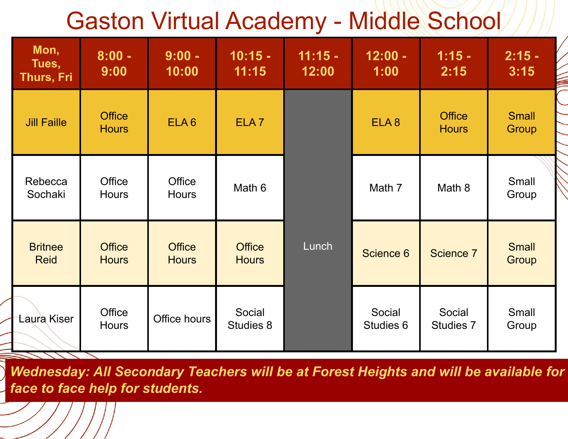## Gaston Virtual Academy - Middle School

| Mon,<br>Tues,<br>Thurs, Fri   | $8:00 -$<br>9:00                                               | $9:00 -$<br>10:00             | $10:15 -$<br>11:15            | $11:15 -$<br>12:00 | $12:00 -$<br>1:00   | $1:15 -$<br>2:15              | $2:15 -$<br>3:15      |
|-------------------------------|----------------------------------------------------------------|-------------------------------|-------------------------------|--------------------|---------------------|-------------------------------|-----------------------|
| <b>Jill Faille</b>            | <b>Office</b><br><b>Hours</b>                                  | ELA <sub>6</sub>              | ELA <sub>7</sub>              |                    | ELA <sub>8</sub>    | <b>Office</b><br><b>Hours</b> | <b>Small</b><br>Group |
| Rebecca<br>Sochaki            | <b>Office</b><br><b>Hours</b>                                  | <b>Office</b><br><b>Hours</b> | Math 6                        |                    | Math 7              | Math 8                        | Small<br>Group        |
| <b>Britnee</b><br><b>Reid</b> | <b>Office</b><br><b>Office</b><br><b>Hours</b><br><b>Hours</b> |                               | <b>Office</b><br><b>Hours</b> | Lunch              | Science 6           | Science 7                     | <b>Small</b><br>Group |
| Laura Kiser                   | <b>Office</b><br><b>Hours</b>                                  | Office hours                  | Social<br><b>Studies 8</b>    |                    | Social<br>Studies 6 | Social<br><b>Studies 7</b>    | Small<br>Group        |

*Wednesday: All Secondary Teachers will be at Forest Heights and will be available for face to face help for students.*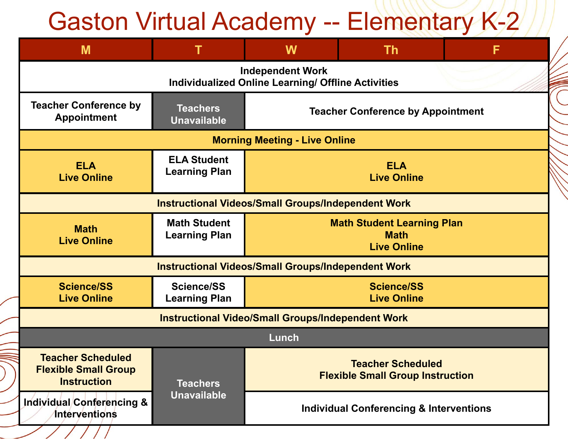## Gaston Virtual Academy -- Elementary K-2

| M                                                                             |                                                                                      | W                                                                   | <b>Th</b>                                                              | F |  |  |  |  |
|-------------------------------------------------------------------------------|--------------------------------------------------------------------------------------|---------------------------------------------------------------------|------------------------------------------------------------------------|---|--|--|--|--|
|                                                                               | <b>Independent Work</b><br><b>Individualized Online Learning/ Offline Activities</b> |                                                                     |                                                                        |   |  |  |  |  |
| <b>Teacher Conference by</b><br><b>Appointment</b>                            | <b>Teachers</b><br><b>Teacher Conference by Appointment</b><br><b>Unavailable</b>    |                                                                     |                                                                        |   |  |  |  |  |
|                                                                               | <b>Morning Meeting - Live Online</b>                                                 |                                                                     |                                                                        |   |  |  |  |  |
| <b>ELA</b><br><b>Live Online</b>                                              | <b>ELA Student</b><br><b>Learning Plan</b>                                           | <b>ELA</b><br><b>Live Online</b>                                    |                                                                        |   |  |  |  |  |
|                                                                               | <b>Instructional Videos/Small Groups/Independent Work</b>                            |                                                                     |                                                                        |   |  |  |  |  |
| <b>Math</b><br><b>Live Online</b>                                             | <b>Math Student</b><br><b>Learning Plan</b>                                          |                                                                     | <b>Math Student Learning Plan</b><br><b>Math</b><br><b>Live Online</b> |   |  |  |  |  |
|                                                                               | <b>Instructional Videos/Small Groups/Independent Work</b>                            |                                                                     |                                                                        |   |  |  |  |  |
| <b>Science/SS</b><br><b>Live Online</b>                                       | <b>Science/SS</b><br><b>Learning Plan</b>                                            |                                                                     | <b>Science/SS</b><br><b>Live Online</b>                                |   |  |  |  |  |
|                                                                               | <b>Instructional Video/Small Groups/Independent Work</b>                             |                                                                     |                                                                        |   |  |  |  |  |
|                                                                               | Lunch                                                                                |                                                                     |                                                                        |   |  |  |  |  |
| <b>Teacher Scheduled</b><br><b>Flexible Small Group</b><br><b>Instruction</b> | <b>Teachers</b>                                                                      | <b>Teacher Scheduled</b><br><b>Flexible Small Group Instruction</b> |                                                                        |   |  |  |  |  |
| Individual/Conferencing &<br><b>Interventions</b>                             | <b>Unavailable</b>                                                                   | <b>Individual Conferencing &amp; Interventions</b>                  |                                                                        |   |  |  |  |  |

 $\frac{1}{\sqrt{11}}$